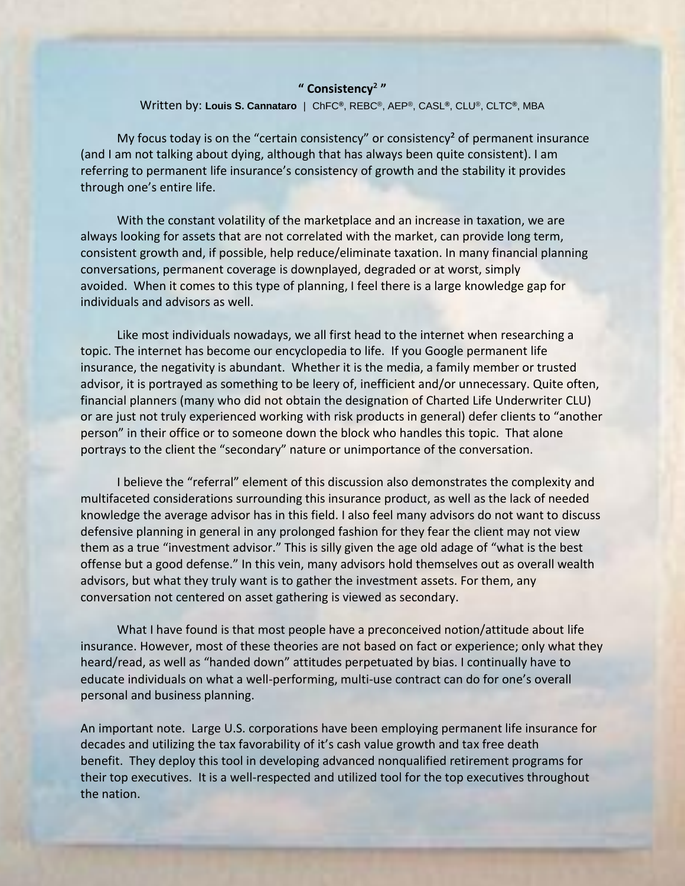## **" Consistency**² **"**

## Written by: **Louis S. Cannataro** | ChFC**®**, REBC®, AEP®, CASL**®**, CLU®, CLTC**®**, MBA

My focus today is on the "certain consistency" or consistency<sup>2</sup> of permanent insurance (and I am not talking about dying, although that has always been quite consistent). I am referring to permanent life insurance's consistency of growth and the stability it provides through one's entire life.

 With the constant volatility of the marketplace and an increase in taxation, we are always looking for assets that are not correlated with the market, can provide long term, consistent growth and, if possible, help reduce/eliminate taxation. In many financial planning conversations, permanent coverage is downplayed, degraded or at worst, simply avoided. When it comes to this type of planning, I feel there is a large knowledge gap for individuals and advisors as well.

 Like most individuals nowadays, we all first head to the internet when researching a topic. The internet has become our encyclopedia to life. If you Google permanent life insurance, the negativity is abundant. Whether it is the media, a family member or trusted advisor, it is portrayed as something to be leery of, inefficient and/or unnecessary. Quite often, financial planners (many who did not obtain the designation of Charted Life Underwriter CLU) or are just not truly experienced working with risk products in general) defer clients to "another person" in their office or to someone down the block who handles this topic. That alone portrays to the client the "secondary" nature or unimportance of the conversation.

 I believe the "referral" element of this discussion also demonstrates the complexity and multifaceted considerations surrounding this insurance product, as well as the lack of needed knowledge the average advisor has in this field. I also feel many advisors do not want to discuss defensive planning in general in any prolonged fashion for they fear the client may not view them as a true "investment advisor." This is silly given the age old adage of "what is the best offense but a good defense." In this vein, many advisors hold themselves out as overall wealth advisors, but what they truly want is to gather the investment assets. For them, any conversation not centered on asset gathering is viewed as secondary.

 What I have found is that most people have a preconceived notion/attitude about life insurance. However, most of these theories are not based on fact or experience; only what they heard/read, as well as "handed down" attitudes perpetuated by bias. I continually have to educate individuals on what a well-performing, multi-use contract can do for one's overall personal and business planning.

An important note. Large U.S. corporations have been employing permanent life insurance for decades and utilizing the tax favorability of it's cash value growth and tax free death benefit. They deploy this tool in developing advanced nonqualified retirement programs for their top executives. It is a well-respected and utilized tool for the top executives throughout the nation.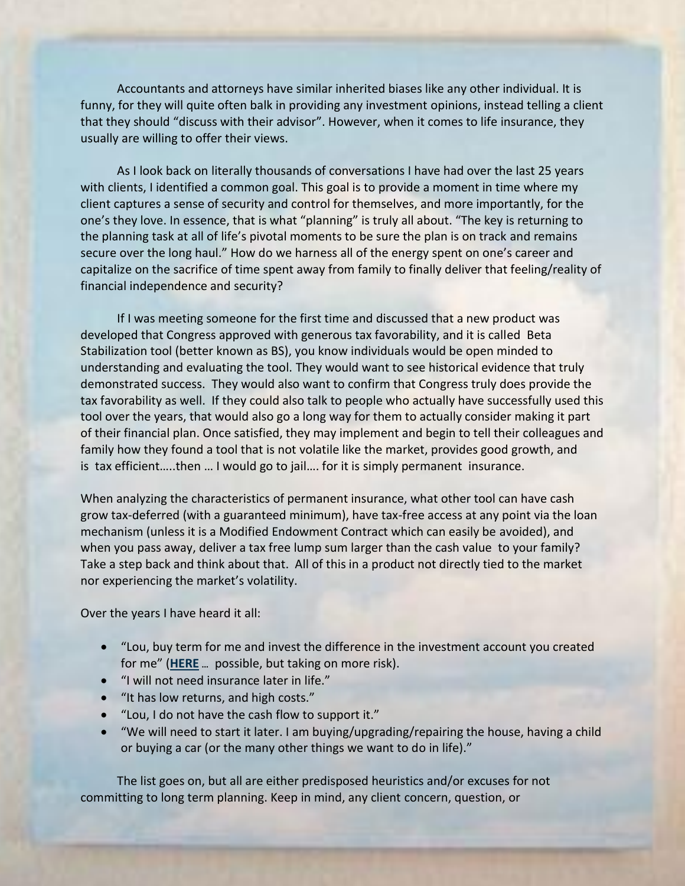Accountants and attorneys have similar inherited biases like any other individual. It is funny, for they will quite often balk in providing any investment opinions, instead telling a client that they should "discuss with their advisor". However, when it comes to life insurance, they usually are willing to offer their views.

 As I look back on literally thousands of conversations I have had over the last 25 years with clients, I identified a common goal. This goal is to provide a moment in time where my client captures a sense of security and control for themselves, and more importantly, for the one's they love. In essence, that is what "planning" is truly all about. "The key is returning to the planning task at all of life's pivotal moments to be sure the plan is on track and remains secure over the long haul." How do we harness all of the energy spent on one's career and capitalize on the sacrifice of time spent away from family to finally deliver that feeling/reality of financial independence and security?

 If I was meeting someone for the first time and discussed that a new product was developed that Congress approved with generous tax favorability, and it is called Beta Stabilization tool (better known as BS), you know individuals would be open minded to understanding and evaluating the tool. They would want to see historical evidence that truly demonstrated success. They would also want to confirm that Congress truly does provide the tax favorability as well. If they could also talk to people who actually have successfully used this tool over the years, that would also go a long way for them to actually consider making it part of their financial plan. Once satisfied, they may implement and begin to tell their colleagues and family how they found a tool that is not volatile like the market, provides good growth, and is tax efficient…..then … I would go to jail…. for it is simply permanent insurance.

When analyzing the characteristics of permanent insurance, what other tool can have cash grow tax-deferred (with a guaranteed minimum), have tax-free access at any point via the loan mechanism (unless it is a Modified Endowment Contract which can easily be avoided), and when you pass away, deliver a tax free lump sum larger than the cash value to your family? Take a step back and think about that. All of this in a product not directly tied to the market nor experiencing the market's volatility.

Over the years I have heard it all:

- "Lou, buy term for me and invest the difference in the investment account you created for me" (**HERE** … possible, but taking on more risk).
- "I will [not need in](http://cpaf.nm.com/files/78922/Buy_Term_Invest_Difference.pdf)surance later in life."
- "It has low returns, and high costs."
- "Lou, I do not have the cash flow to support it."
- "We will need to start it later. I am buying/upgrading/repairing the house, having a child or buying a car (or the many other things we want to do in life)."

 The list goes on, but all are either predisposed heuristics and/or excuses for not committing to long term planning. Keep in mind, any client concern, question, or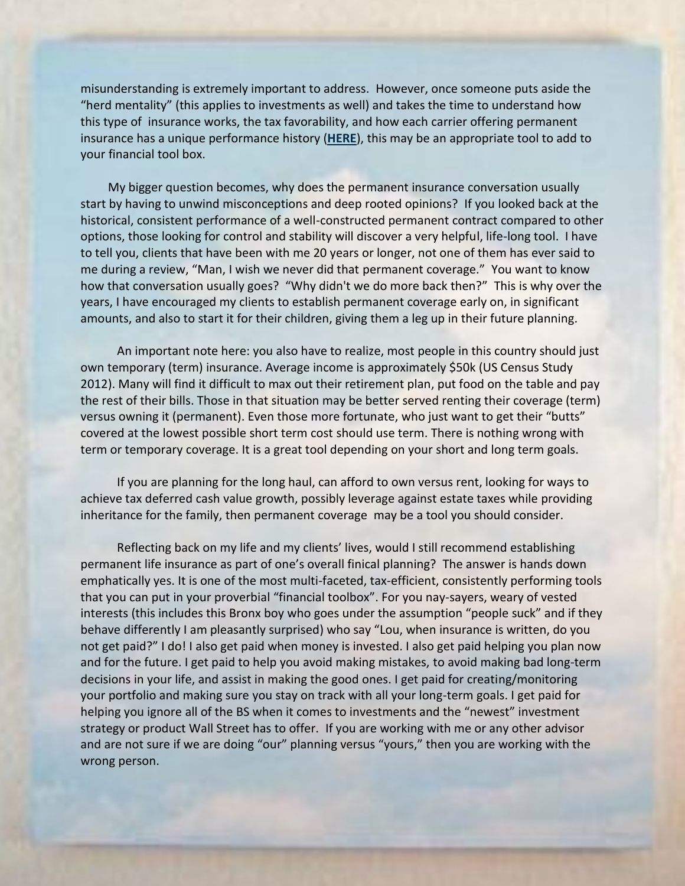misunderstanding is extremely important to address. However, once someone puts aside the "herd mentality" (this applies to investments as well) and takes the time to understand how this type of insurance works, the tax favorability, and how each carrier offering permanent insurance has a unique performance history (**[HERE](http://cpaf.nm.com/files/78922/Best-Value-2013.pdf)**), this may be an appropriate tool to add to your financial tool box.

 My bigger question becomes, why does the permanent insurance conversation usually start by having to unwind misconceptions and deep rooted opinions? If you looked back at the historical, consistent performance of a well-constructed permanent contract compared to other options, those looking for control and stability will discover a very helpful, life-long tool. I have to tell you, clients that have been with me 20 years or longer, not one of them has ever said to me during a review, "Man, I wish we never did that permanent coverage." You want to know how that conversation usually goes? "Why didn't we do more back then?" This is why over the years, I have encouraged my clients to establish permanent coverage early on, in significant amounts, and also to start it for their children, giving them a leg up in their future planning.

 An important note here: you also have to realize, most people in this country should just own temporary (term) insurance. Average income is approximately \$50k (US Census Study 2012). Many will find it difficult to max out their retirement plan, put food on the table and pay the rest of their bills. Those in that situation may be better served renting their coverage (term) versus owning it (permanent). Even those more fortunate, who just want to get their "butts" covered at the lowest possible short term cost should use term. There is nothing wrong with term or temporary coverage. It is a great tool depending on your short and long term goals.

 If you are planning for the long haul, can afford to own versus rent, looking for ways to achieve tax deferred cash value growth, possibly leverage against estate taxes while providing inheritance for the family, then permanent coverage may be a tool you should consider.

 Reflecting back on my life and my clients' lives, would I still recommend establishing permanent life insurance as part of one's overall finical planning? The answer is hands down emphatically yes. It is one of the most multi-faceted, tax-efficient, consistently performing tools that you can put in your proverbial "financial toolbox". For you nay-sayers, weary of vested interests (this includes this Bronx boy who goes under the assumption "people suck" and if they behave differently I am pleasantly surprised) who say "Lou, when insurance is written, do you not get paid?" I do! I also get paid when money is invested. I also get paid helping you plan now and for the future. I get paid to help you avoid making mistakes, to avoid making bad long-term decisions in your life, and assist in making the good ones. I get paid for creating/monitoring your portfolio and making sure you stay on track with all your long-term goals. I get paid for helping you ignore all of the BS when it comes to investments and the "newest" investment strategy or product Wall Street has to offer. If you are working with me or any other advisor and are not sure if we are doing "our" planning versus "yours," then you are working with the wrong person.